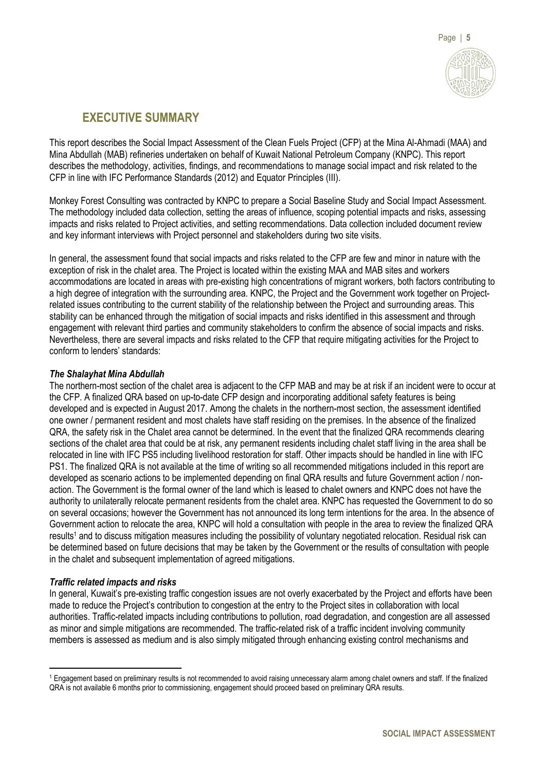

# **EXECUTIVE SUMMARY**

This report describes the Social Impact Assessment of the Clean Fuels Project (CFP) at the Mina Al-Ahmadi (MAA) and Mina Abdullah (MAB) refineries undertaken on behalf of Kuwait National Petroleum Company (KNPC). This report describes the methodology, activities, findings, and recommendations to manage social impact and risk related to the CFP in line with IFC Performance Standards (2012) and Equator Principles (III).

Monkey Forest Consulting was contracted by KNPC to prepare a Social Baseline Study and Social Impact Assessment. The methodology included data collection, setting the areas of influence, scoping potential impacts and risks, assessing impacts and risks related to Project activities, and setting recommendations. Data collection included document review and key informant interviews with Project personnel and stakeholders during two site visits.

In general, the assessment found that social impacts and risks related to the CFP are few and minor in nature with the exception of risk in the chalet area. The Project is located within the existing MAA and MAB sites and workers accommodations are located in areas with pre-existing high concentrations of migrant workers, both factors contributing to a high degree of integration with the surrounding area. KNPC, the Project and the Government work together on Projectrelated issues contributing to the current stability of the relationship between the Project and surrounding areas. This stability can be enhanced through the mitigation of social impacts and risks identified in this assessment and through engagement with relevant third parties and community stakeholders to confirm the absence of social impacts and risks. Nevertheless, there are several impacts and risks related to the CFP that require mitigating activities for the Project to conform to lenders' standards:

## *The Shalayhat Mina Abdullah*

The northern-most section of the chalet area is adjacent to the CFP MAB and may be at risk if an incident were to occur at the CFP. A finalized QRA based on up-to-date CFP design and incorporating additional safety features is being developed and is expected in August 2017. Among the chalets in the northern-most section, the assessment identified one owner / permanent resident and most chalets have staff residing on the premises. In the absence of the finalized QRA, the safety risk in the Chalet area cannot be determined. In the event that the finalized QRA recommends clearing sections of the chalet area that could be at risk, any permanent residents including chalet staff living in the area shall be relocated in line with IFC PS5 including livelihood restoration for staff. Other impacts should be handled in line with IFC PS1. The finalized QRA is not available at the time of writing so all recommended mitigations included in this report are developed as scenario actions to be implemented depending on final QRA results and future Government action / nonaction. The Government is the formal owner of the land which is leased to chalet owners and KNPC does not have the authority to unilaterally relocate permanent residents from the chalet area. KNPC has requested the Government to do so on several occasions; however the Government has not announced its long term intentions for the area. In the absence of Government action to relocate the area, KNPC will hold a consultation with people in the area to review the finalized QRA results<sup>1</sup> and to discuss mitigation measures including the possibility of voluntary negotiated relocation. Residual risk can be determined based on future decisions that may be taken by the Government or the results of consultation with people in the chalet and subsequent implementation of agreed mitigations.

## *Traffic related impacts and risks*

 $\overline{a}$ 

In general, Kuwait's pre-existing traffic congestion issues are not overly exacerbated by the Project and efforts have been made to reduce the Project's contribution to congestion at the entry to the Project sites in collaboration with local authorities. Traffic-related impacts including contributions to pollution, road degradation, and congestion are all assessed as minor and simple mitigations are recommended. The traffic-related risk of a traffic incident involving community members is assessed as medium and is also simply mitigated through enhancing existing control mechanisms and

<sup>1</sup> Engagement based on preliminary results is not recommended to avoid raising unnecessary alarm among chalet owners and staff. If the finalized QRA is not available 6 months prior to commissioning, engagement should proceed based on preliminary QRA results.